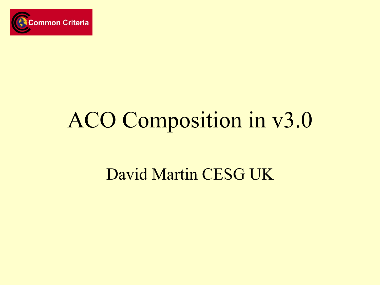

#### ACO Composition in v3.0

#### David Martin CESG UK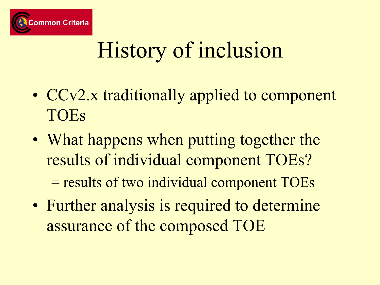

# History of inclusion

- CCv2.x traditionally applied to component TOEs
- What happens when putting together the results of individual component TOEs?

= results of two individual component TOEs

• Further analysis is required to determine assurance of the composed TOE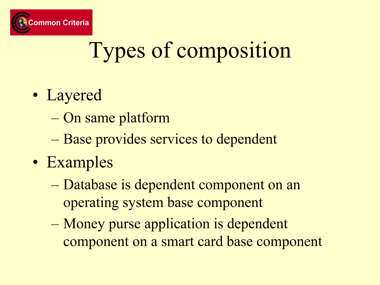

# Types of composition

- Layered
	- On same platform
	- Base provides services to dependent
- Examples
	- Database is dependent component on an operating system base component
	- Money purse application is dependent component on a smart card base component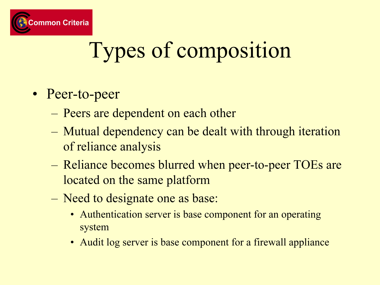

# Types of composition

- Peer-to-peer
	- –Peers are dependent on each other
	- – Mutual dependency can be dealt with through iteration of reliance analysis
	- Reliance becomes blurred when peer-to-peer TOEs are located on the same platform
	- – Need to designate one as base:
		- Authentication server is base component for an operating system
		- Audit log server is base component for a firewall appliance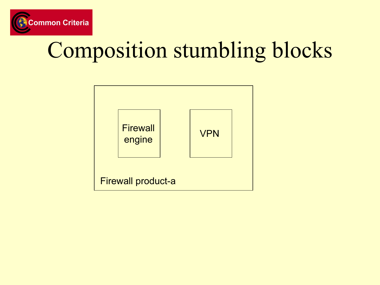

### Composition stumbling blocks

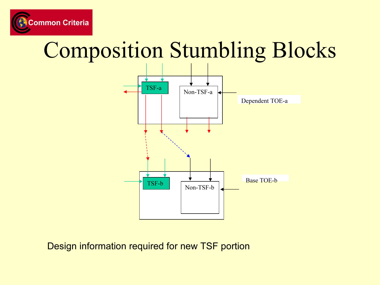

#### Composition Stumbling Blocks



Design information required for new TSF portion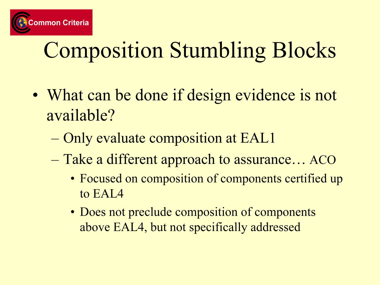

# Composition Stumbling Blocks

- What can be done if design evidence is not available?
	- Only evaluate composition at EAL1
	- Take a different approach to assurance… ACO
		- Focused on composition of components certified up to EAL4
		- Does not preclude composition of components above EAL4, but not specifically addressed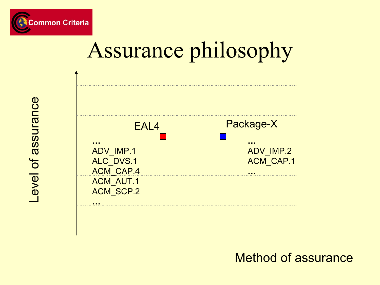





Level of assurance Level of assurance

Method of assurance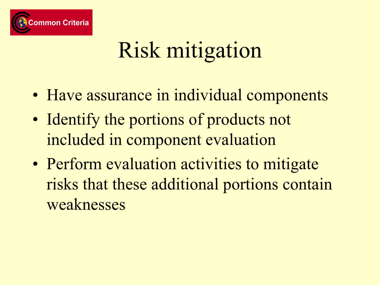

# Risk mitigation

- Have assurance in individual components
- Identify the portions of products not included in component evaluation
- Perform evaluation activities to mitigate risks that these additional portions contain weaknesses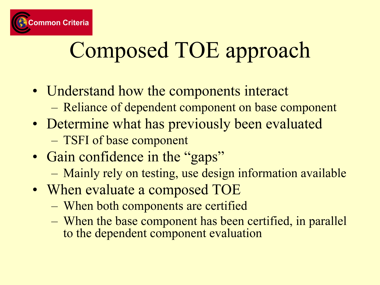

# Composed TOE approach

- Understand how the components interact
	- –Reliance of dependent component on base component
- Determine what has previously been evaluated –TSFI of base component
- Gain confidence in the "gaps"
	- Mainly rely on testing, use design information available
- When evaluate a composed TOE
	- When both components are certified
	- – When the base component has been certified, in parallel to the dependent component evaluation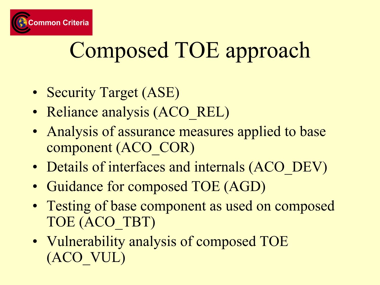

## Composed TOE approach

- Security Target (ASE)
- Reliance analysis (ACO\_REL)
- Analysis of assurance measures applied to base component (ACO\_COR)
- Details of interfaces and internals (ACO\_DEV)
- Guidance for composed TOE (AGD)
- Testing of base component as used on composed TOE (ACO\_TBT)
- Vulnerability analysis of composed TOE (ACO\_VUL)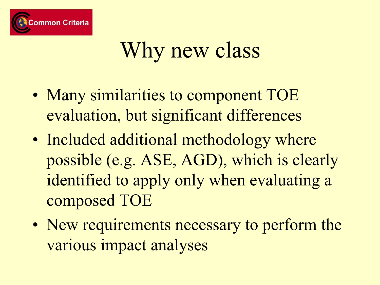

#### Why new class

- Many similarities to component TOE evaluation, but significant differences
- Included additional methodology where possible (e.g. ASE, AGD), which is clearly identified to apply only when evaluating a composed TOE
- New requirements necessary to perform the various impact analyses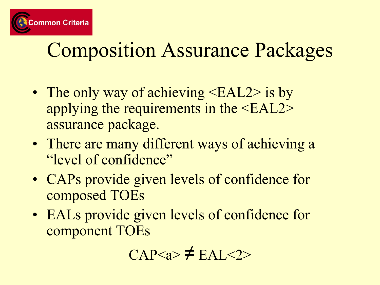

#### Composition Assurance Packages

- The only way of achieving <EAL2> is by applying the requirements in the <EAL2> assurance package.
- There are many different ways of achieving a "level of confidence"
- CAPs provide given levels of confidence for composed TOEs
- EALs provide given levels of confidence for component TOEs

$$
CAP\neq EAL<2>
$$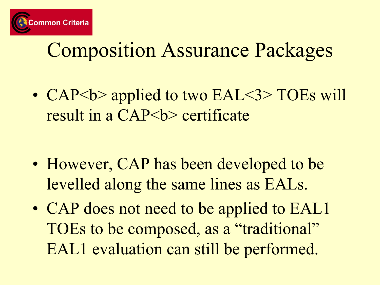

#### Composition Assurance Packages

• CAP<br/>b> applied to two EAL<3> TOEs will result in a CAP<br/>b> certificate

- However, CAP has been developed to be levelled along the same lines as EALs.
- CAP does not need to be applied to EAL1 TOEs to be composed, as a "traditional" EAL1 evaluation can still be performed.